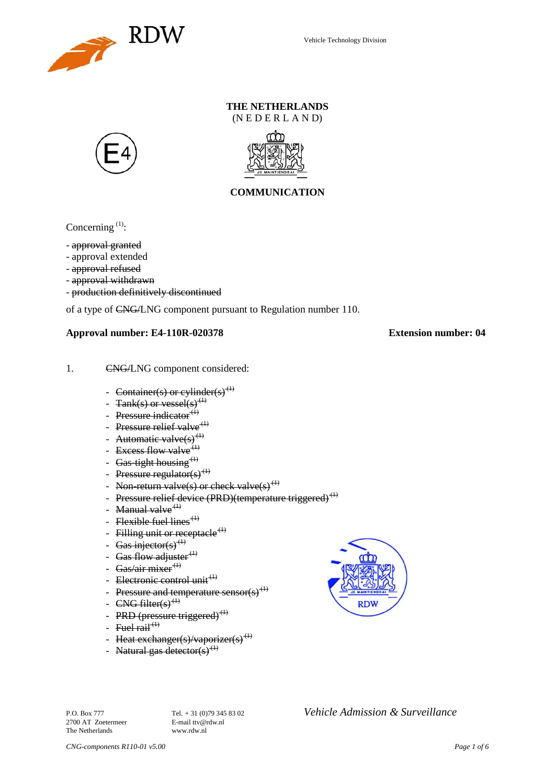

# **THE NETHERLANDS**

 $(N E D E R L A N D)$ 





## **COMMUNICATION**

Concerning<sup>[\(1\)](#page-2-0)</sup>:

- approval granted

- approval extended
- approval refused
- approval withdrawn
- production definitively discontinued

of a type of CNG/LNG component pursuant to Regulation number 110.

#### **Approval number: E4-110R-020378 Extension number: 04**

- 1. CNG/LNG component considered:
	- Container(s) or cylinder(s)<sup>(1)</sup>
	- $\text{Tank}(s)$  or vessel(s)<sup>{</sup>
	- Pressure indicator $^{(1)}$
	- Pressure relief valve<sup>(1)</sup>
	- Automatic valve $(s)^{(1)}$
	- Excess flow valve  $(1)$
	- Gas-tight housing  $<sup>(1)</sup>$ </sup>
	- Pressure regulator(s)<sup>(1)</sup>
	- Non-return valve(s) or check valve(s)<sup>(1)</sup>
	- Pressure relief device (PRD)(temperature triggered)<sup>(1)</sup>
	- Manual valve $<sup>(1)</sup>$ </sup>
	- Flexible fuel lines<sup> $(1)$ </sup>
	- Filling unit or receptacle  $(t)$
	- Gas injector(s)<sup>(1)</sup>
	- Gas flow adjuster $<sup>(1)</sup>$ </sup>
	- Gas/air mixer $^{(1)}$
	- Electronic control unit<sup>(1)</sup>
	- Pressure and temperature sensor(s)
	- $CNG$  filter(s)<sup>(1)</sup>
	- PRD (pressure triggered)<sup>(1)</sup>
	- Fuel rail<sup> $(1)$ </sup>
	- Heat exchanger(s)/vaporizer(s)<sup>(1)</sup>
	- Natural gas detector(s)<sup>(1)</sup>



2700 AT Zoetermeer The Netherlands www.rdw.nl

P.O. Box 777 **Tel.** + 31 (0)79 345 83 02 *Vehicle Admission & Surveillance*<br>2700 AT Zoetermeer **E-mail** ttv@rdw.nl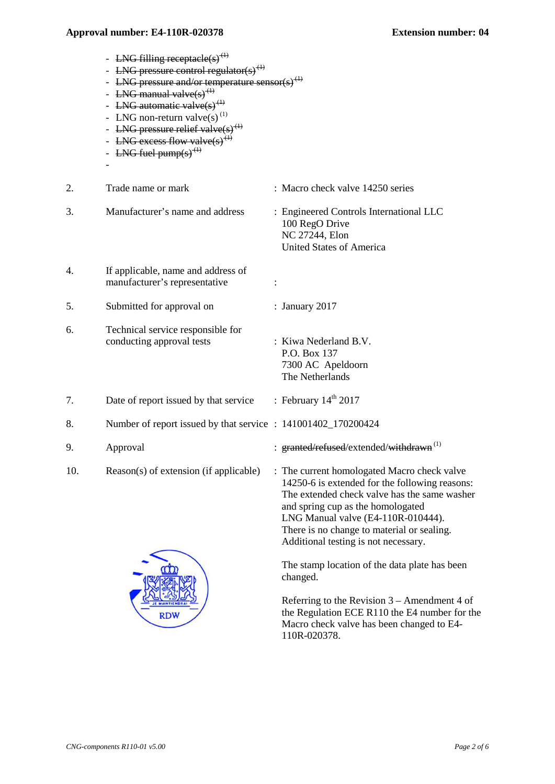|     | - LNG filling receptacle(s) <sup>(1)</sup><br><b>LNG</b> pressure control regulator(s) <sup>(1)</sup><br>- LNG pressure and/or temperature sensor(s) <sup>(1)</sup><br>- LNG manual valve(s) <sup>(1)</sup><br>- LNG automatic valve(s) <sup>(1)</sup><br>- LNG non-return valve(s) <sup>(1)</sup><br>- LNG pressure relief valve(s) <sup>(1)</sup><br>- LNG excess flow valve(s) <sup><math>\leftrightarrow</math></sup><br>- LNG fuel pump(s) <sup><math>\leftrightarrow</math></sup> |                                                                                                                                                                                                                          |
|-----|-----------------------------------------------------------------------------------------------------------------------------------------------------------------------------------------------------------------------------------------------------------------------------------------------------------------------------------------------------------------------------------------------------------------------------------------------------------------------------------------|--------------------------------------------------------------------------------------------------------------------------------------------------------------------------------------------------------------------------|
| 2.  | Trade name or mark                                                                                                                                                                                                                                                                                                                                                                                                                                                                      | : Macro check valve 14250 series                                                                                                                                                                                         |
| 3.  | Manufacturer's name and address                                                                                                                                                                                                                                                                                                                                                                                                                                                         | : Engineered Controls International LLC<br>100 RegO Drive<br>NC 27244, Elon<br><b>United States of America</b>                                                                                                           |
| 4.  | If applicable, name and address of<br>manufacturer's representative                                                                                                                                                                                                                                                                                                                                                                                                                     | :                                                                                                                                                                                                                        |
| 5.  | Submitted for approval on                                                                                                                                                                                                                                                                                                                                                                                                                                                               | : January 2017                                                                                                                                                                                                           |
| 6.  | Technical service responsible for<br>conducting approval tests                                                                                                                                                                                                                                                                                                                                                                                                                          | : Kiwa Nederland B.V.<br>P.O. Box 137<br>7300 AC Apeldoorn<br>The Netherlands                                                                                                                                            |
| 7.  | Date of report issued by that service                                                                                                                                                                                                                                                                                                                                                                                                                                                   | : February $14^{\text{th}}$ 2017                                                                                                                                                                                         |
| 8.  | Number of report issued by that service : 141001402_170200424                                                                                                                                                                                                                                                                                                                                                                                                                           |                                                                                                                                                                                                                          |
| 9.  | Approval                                                                                                                                                                                                                                                                                                                                                                                                                                                                                | : granted/refused/extended/withdrawn <sup>(1)</sup>                                                                                                                                                                      |
| 10. | Reason(s) of extension (if applicable)                                                                                                                                                                                                                                                                                                                                                                                                                                                  | : The current homologated Macro check valve<br>14250-6 is extended for the following reasons:<br>The extended check valve has the same washer<br>and spring cup as the homologated<br>LNG Manual valve (E4-110R-010444). |



The stamp location of the data plate has been changed.

There is no change to material or sealing. Additional testing is not necessary.

Referring to the Revision 3 – Amendment 4 of the Regulation ECE R110 the E4 number for the Macro check valve has been changed to E4- 110R-020378.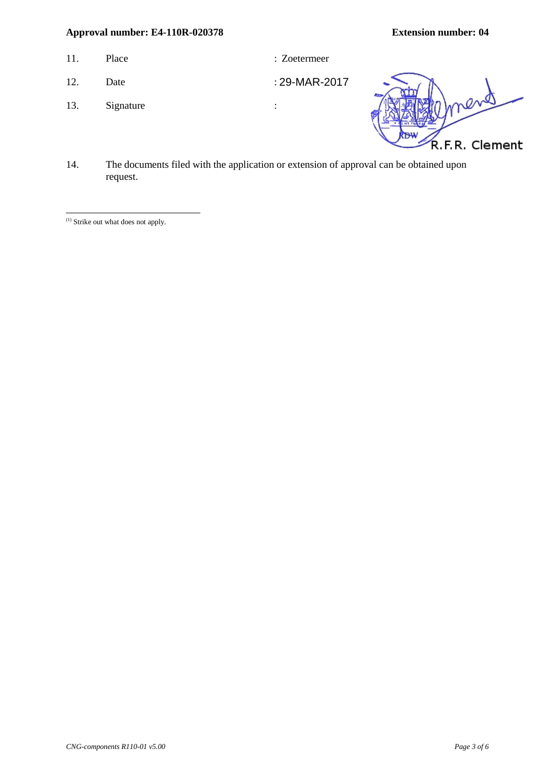- 11. Place : Zoetermeer : 2011.
	-

29-MAR-2017

- 12. Date
- 13. Signature :



14. The documents filed with the application or extension of approval can be obtained upon request.

<span id="page-2-0"></span><sup>(1)</sup> Strike out what does not apply. <u>.</u>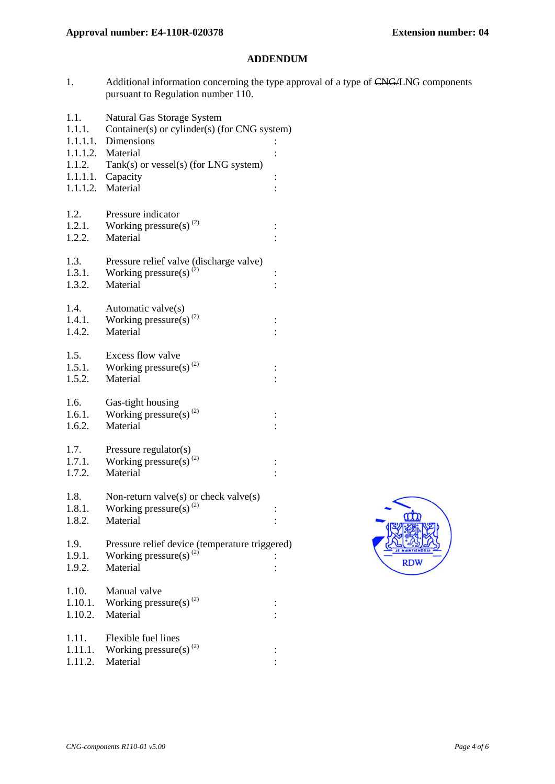#### **ADDENDUM**

- 1. Additional information concerning the type approval of a type of CNG/LNG components pursuant to Regulation number 110.
- 1.1. Natural Gas Storage System
- 1.1.1. Container(s) or cylinder(s) (for CNG system)
- 1.1.1.1. Dimensions :
- 1.1.1.2. Material :
- 1.1.2. Tank(s) or vessel(s) (for LNG system)
- 1.1.1.1. Capacity : 1.1.1.2. Material :
- 
- 1.2. Pressure indicator
- 1.2.1. Working pressure(s)<sup>[\(2\)](#page-5-0)</sup> : 1.2.2. Material :
- 1.3. Pressure relief valve (discharge valve) 1.3.1. Working pressure(s)<sup>(2)</sup> :
- 1.3.2. Material :
- 1.4. Automatic valve(s) 1.4.1. Working pressure(s)<sup>(2)</sup> :
- 1.4.2. Material :
- 1.5. Excess flow valve 1.5.1. Working pressure(s)<sup>(2)</sup> :
- 1.5.2. Material :
- 1.6. Gas-tight housing 1.6.1. Working pressure(s)<sup>(2)</sup> :
- 1.6.2. Material :
- 1.7. Pressure regulator(s) 1.7.1. Working pressure(s)<sup>(2)</sup> :
- 1.7.2. Material :
- 1.8. Non-return valve(s) or check valve(s) 1.8.1. Working pressure(s)<sup>(2)</sup> Working pressure(s)<sup>(2)</sup> : 1.8.2. Material 1.9. Pressure relief device (temperature triggered) 1.9.1. Working pressure(s)<sup>(2)</sup> : 1.9.2. Material :
- 1.10. Manual valve 1.10.1. Working pressure(s)<sup>(2)</sup> : 1.10.2. Material :
- 1.11. Flexible fuel lines 1.11.1. Working pressure(s)<sup>(2)</sup> : 1.11.2. Material :

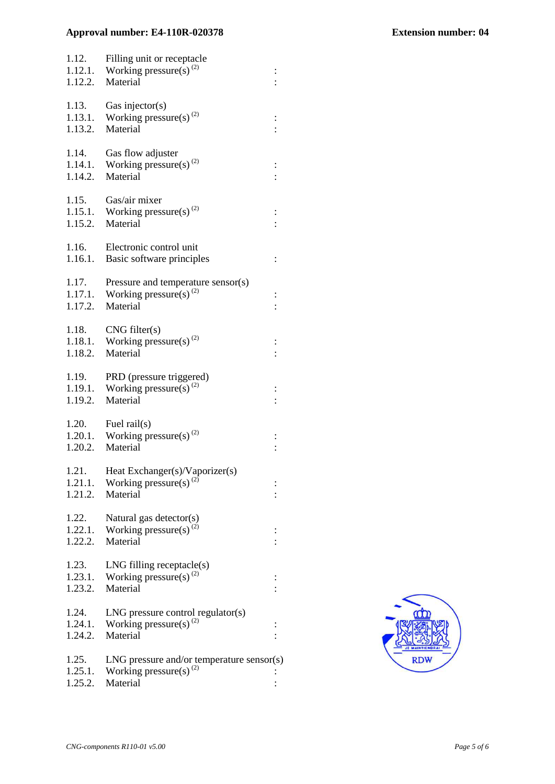| 1.12.<br>1.12.2.            | Filling unit or receptacle<br>1.12.1. Working pressure(s) <sup>(2)</sup><br>Material    |          |
|-----------------------------|-----------------------------------------------------------------------------------------|----------|
| 1.13.<br>1.13.1.<br>1.13.2. | Gas injector( $s$ )<br>Working pressure(s) <sup>(2)</sup><br>Material                   |          |
| 1.14.<br>1.14.1.<br>1.14.2. | Gas flow adjuster<br>Working pressure(s) $^{(2)}$<br>Material                           |          |
| 1.15.<br>1.15.2.            | Gas/air mixer<br>1.15.1. Working pressure(s) <sup>(2)</sup><br>Material                 | $\vdots$ |
| 1.16.<br>1.16.1.            | Electronic control unit<br>Basic software principles                                    | $\vdots$ |
| 1.17.<br>1.17.1.<br>1.17.2. | Pressure and temperature sensor(s)<br>Working pressure(s) <sup>(2)</sup><br>Material    |          |
| 1.18.<br>1.18.1.<br>1.18.2. | CNG filter(s)<br>Working pressure(s) <sup>(2)</sup><br>Material                         |          |
| 1.19.<br>1.19.1.<br>1.19.2. | PRD (pressure triggered)<br>Working pressure(s) <sup>(2)</sup><br>Material              |          |
| 1.20.<br>1.20.2.            | Fuel rail(s)<br>1.20.1. Working pressure(s) <sup>(2)</sup><br>Material                  |          |
| 1.21.<br>1.21.1.<br>1.21.2. | Heat Exchanger(s)/Vaporizer(s)<br>Working pressure(s) <sup>(2)</sup><br>Material        |          |
| 1.22.<br>1.22.1.<br>1.22.2. | Natural gas detector(s)<br>Working pressure(s) <sup>(2)</sup><br>Material               |          |
| 1.23.<br>1.23.1.<br>1.23.2. | $LNG$ filling receptacle $(s)$<br>Working pressure(s) <sup>(2)</sup><br>Material        |          |
| 1.24.<br>1.24.1.<br>1.24.2. | $LNG$ pressure control regulator(s)<br>Working pressure(s) <sup>(2)</sup><br>Material   |          |
| 1.25.<br>1.25.1.<br>1.25.2. | $LNG$ pressure and/or temperature sensor(s)<br>Working pressure(s) $^{(2)}$<br>Material |          |